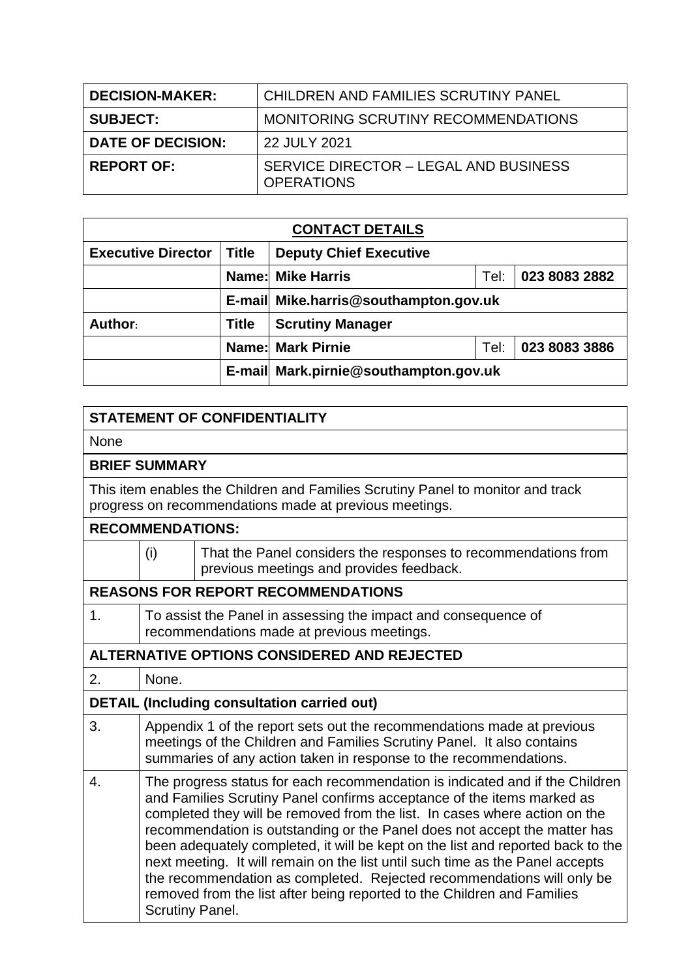| <b>DECISION-MAKER:</b>   | CHILDREN AND FAMILIES SCRUTINY PANEL                       |
|--------------------------|------------------------------------------------------------|
| <b>SUBJECT:</b>          | MONITORING SCRUTINY RECOMMENDATIONS                        |
| <b>DATE OF DECISION:</b> | 22 JULY 2021                                               |
| <b>REPORT OF:</b>        | SERVICE DIRECTOR - LEGAL AND BUSINESS<br><b>OPERATIONS</b> |

| <b>CONTACT DETAILS</b>    |              |                                       |      |               |
|---------------------------|--------------|---------------------------------------|------|---------------|
| <b>Executive Director</b> | Title        | <b>Deputy Chief Executive</b>         |      |               |
|                           |              | <b>Name: Mike Harris</b>              | Tel: | 023 8083 2882 |
|                           |              | E-mail Mike.harris@southampton.gov.uk |      |               |
| Author:                   | <b>Title</b> | <b>Scrutiny Manager</b>               |      |               |
|                           |              | <b>Name: Mark Pirnie</b>              | Tel: | 023 8083 3886 |
|                           |              | E-mail Mark.pirnie@southampton.gov.uk |      |               |

#### **STATEMENT OF CONFIDENTIALITY**

None

#### **BRIEF SUMMARY**

This item enables the Children and Families Scrutiny Panel to monitor and track progress on recommendations made at previous meetings.

### **RECOMMENDATIONS:**

(i) That the Panel considers the responses to recommendations from previous meetings and provides feedback.

## **REASONS FOR REPORT RECOMMENDATIONS**

| To assist the Panel in assessing the impact and consequence of |
|----------------------------------------------------------------|
| recommendations made at previous meetings.                     |

## **ALTERNATIVE OPTIONS CONSIDERED AND REJECTED**

| . YI TIVING GONGULLINLD AND INLULOTLD |                                                                                                                                                                                                                                                                                                                                                                                                                                                                                                                                                                                                                                                                      |  |  |  |
|---------------------------------------|----------------------------------------------------------------------------------------------------------------------------------------------------------------------------------------------------------------------------------------------------------------------------------------------------------------------------------------------------------------------------------------------------------------------------------------------------------------------------------------------------------------------------------------------------------------------------------------------------------------------------------------------------------------------|--|--|--|
| 2.                                    | None.                                                                                                                                                                                                                                                                                                                                                                                                                                                                                                                                                                                                                                                                |  |  |  |
|                                       | <b>DETAIL (Including consultation carried out)</b>                                                                                                                                                                                                                                                                                                                                                                                                                                                                                                                                                                                                                   |  |  |  |
| 3.                                    | Appendix 1 of the report sets out the recommendations made at previous<br>meetings of the Children and Families Scrutiny Panel. It also contains<br>summaries of any action taken in response to the recommendations.                                                                                                                                                                                                                                                                                                                                                                                                                                                |  |  |  |
| 4.                                    | The progress status for each recommendation is indicated and if the Children<br>and Families Scrutiny Panel confirms acceptance of the items marked as<br>completed they will be removed from the list. In cases where action on the<br>recommendation is outstanding or the Panel does not accept the matter has<br>been adequately completed, it will be kept on the list and reported back to the<br>next meeting. It will remain on the list until such time as the Panel accepts<br>the recommendation as completed. Rejected recommendations will only be<br>removed from the list after being reported to the Children and Families<br><b>Scrutiny Panel.</b> |  |  |  |